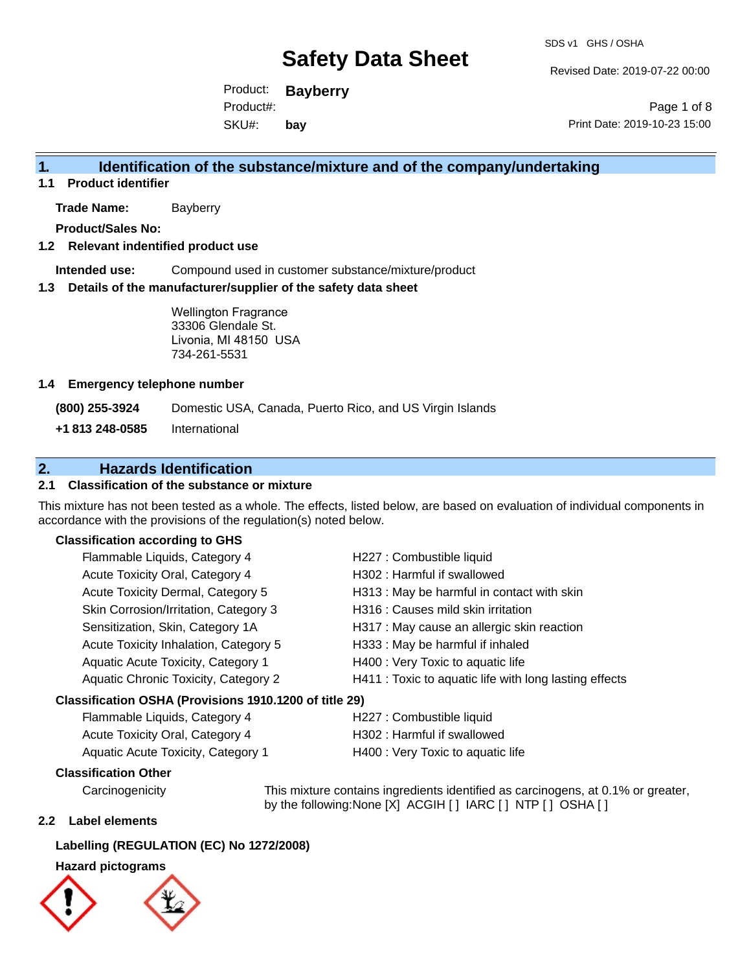Revised Date: 2019-07-22 00:00

Product: **Bayberry** SKU#: Product#: **bay**

Page 1 of 8 Print Date: 2019-10-23 15:00

## **1. Identification of the substance/mixture and of the company/undertaking**

**1.1 Product identifier**

**Trade Name:** Bayberry

**Product/Sales No:**

## **1.2 Relevant indentified product use**

**Intended use:** Compound used in customer substance/mixture/product

#### **1.3 Details of the manufacturer/supplier of the safety data sheet**

Wellington Fragrance 33306 Glendale St. Livonia, MI 48150 USA 734-261-5531

#### **1.4 Emergency telephone number**

**(800) 255-3924** Domestic USA, Canada, Puerto Rico, and US Virgin Islands

**+1 813 248-0585** International

## **2. Hazards Identification**

## **2.1 Classification of the substance or mixture**

This mixture has not been tested as a whole. The effects, listed below, are based on evaluation of individual components in accordance with the provisions of the regulation(s) noted below.

### **Classification according to GHS**

| Flammable Liquids, Category 4                          | H227 : Combustible liquid                              |
|--------------------------------------------------------|--------------------------------------------------------|
| Acute Toxicity Oral, Category 4                        | H302: Harmful if swallowed                             |
| Acute Toxicity Dermal, Category 5                      | H313 : May be harmful in contact with skin             |
| Skin Corrosion/Irritation, Category 3                  | H316 : Causes mild skin irritation                     |
| Sensitization, Skin, Category 1A                       | H317 : May cause an allergic skin reaction             |
| Acute Toxicity Inhalation, Category 5                  | H333: May be harmful if inhaled                        |
| Aquatic Acute Toxicity, Category 1                     | H400 : Very Toxic to aquatic life                      |
| Aquatic Chronic Toxicity, Category 2                   | H411 : Toxic to aquatic life with long lasting effects |
| Classification OSHA (Provisions 1910.1200 of title 29) |                                                        |

| Flammable Liquids, Category 4      | H227 : Combustible liquid         |
|------------------------------------|-----------------------------------|
| Acute Toxicity Oral, Category 4    | H302 : Harmful if swallowed       |
| Aquatic Acute Toxicity, Category 1 | H400 : Very Toxic to aquatic life |

### **Classification Other**

Carcinogenicity This mixture contains ingredients identified as carcinogens, at 0.1% or greater, by the following:None [X] ACGIH [ ] IARC [ ] NTP [ ] OSHA [ ]

### **2.2 Label elements**

### **Labelling (REGULATION (EC) No 1272/2008)**

### **Hazard pictograms**



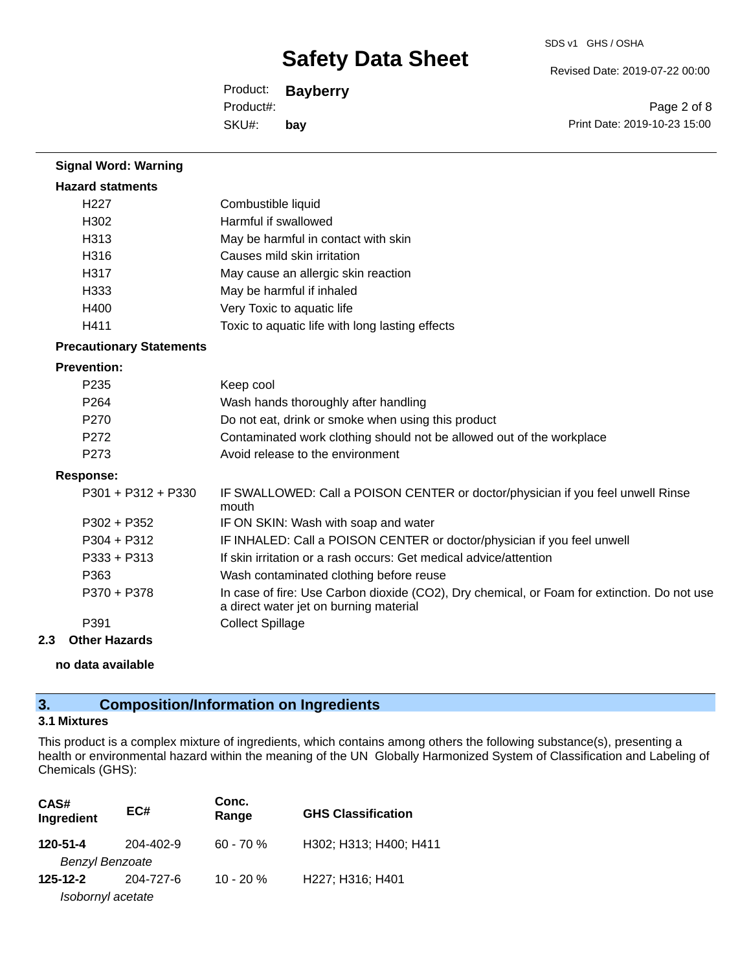Revised Date: 2019-07-22 00:00

Product: **Bayberry** SKU#: Product#: **bay**

Page 2 of 8 Print Date: 2019-10-23 15:00

| <b>Signal Word: Warning</b>     |                                                                                                                                       |
|---------------------------------|---------------------------------------------------------------------------------------------------------------------------------------|
| <b>Hazard statments</b>         |                                                                                                                                       |
| H <sub>227</sub>                | Combustible liquid                                                                                                                    |
| H302                            | Harmful if swallowed                                                                                                                  |
| H313                            | May be harmful in contact with skin                                                                                                   |
| H316                            | Causes mild skin irritation                                                                                                           |
| H317                            | May cause an allergic skin reaction                                                                                                   |
| H333                            | May be harmful if inhaled                                                                                                             |
| H400                            | Very Toxic to aquatic life                                                                                                            |
| H411                            | Toxic to aquatic life with long lasting effects                                                                                       |
| <b>Precautionary Statements</b> |                                                                                                                                       |
| <b>Prevention:</b>              |                                                                                                                                       |
| P235                            | Keep cool                                                                                                                             |
| P264                            | Wash hands thoroughly after handling                                                                                                  |
| P270                            | Do not eat, drink or smoke when using this product                                                                                    |
| P <sub>272</sub>                | Contaminated work clothing should not be allowed out of the workplace                                                                 |
| P273                            | Avoid release to the environment                                                                                                      |
| <b>Response:</b>                |                                                                                                                                       |
| P301 + P312 + P330              | IF SWALLOWED: Call a POISON CENTER or doctor/physician if you feel unwell Rinse<br>mouth                                              |
| $P302 + P352$                   | IF ON SKIN: Wash with soap and water                                                                                                  |
| P304 + P312                     | IF INHALED: Call a POISON CENTER or doctor/physician if you feel unwell                                                               |
| $P333 + P313$                   | If skin irritation or a rash occurs: Get medical advice/attention                                                                     |
| P363                            | Wash contaminated clothing before reuse                                                                                               |
| P370 + P378                     | In case of fire: Use Carbon dioxide (CO2), Dry chemical, or Foam for extinction. Do not use<br>a direct water jet on burning material |
| P391                            | <b>Collect Spillage</b>                                                                                                               |
| 2.3<br><b>Other Hazards</b>     |                                                                                                                                       |

**no data available**

## **3. Composition/Information on Ingredients**

### **3.1 Mixtures**

This product is a complex mixture of ingredients, which contains among others the following substance(s), presenting a health or environmental hazard within the meaning of the UN Globally Harmonized System of Classification and Labeling of Chemicals (GHS):

| CAS#<br>Ingredient     | EC#       | Conc.<br>Range | <b>GHS Classification</b> |
|------------------------|-----------|----------------|---------------------------|
| 120-51-4               | 204-402-9 | $60 - 70%$     | H302; H313; H400; H411    |
| <b>Benzyl Benzoate</b> |           |                |                           |
| $125 - 12 - 2$         | 204-727-6 | $10 - 20 \%$   | H227; H316; H401          |
| Isobornyl acetate      |           |                |                           |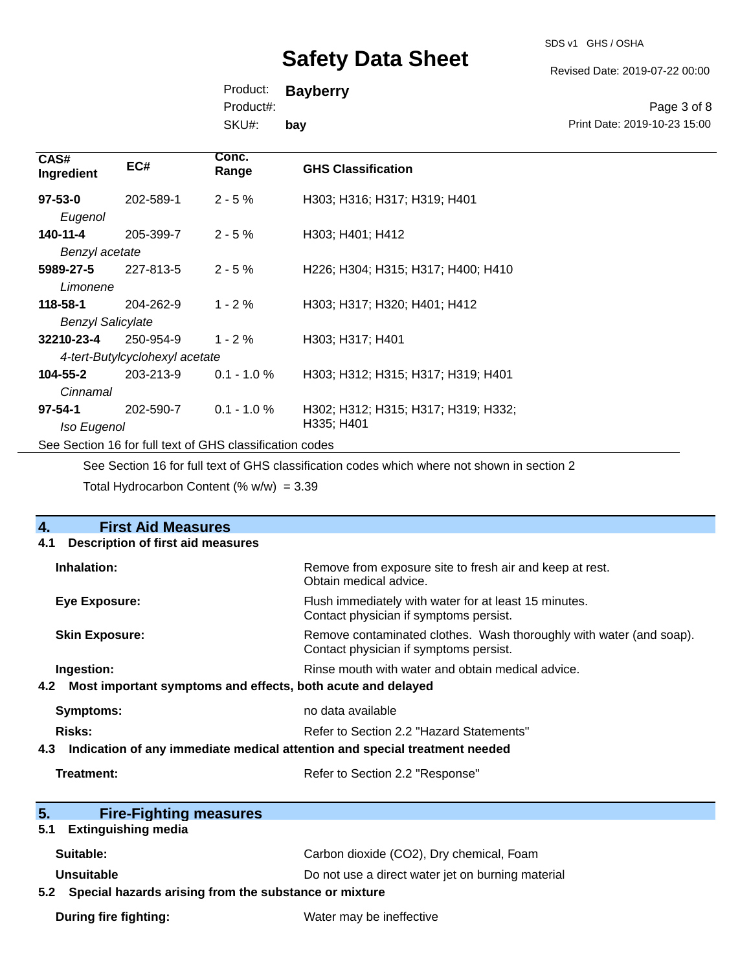SDS v1 GHS / OSHA

Revised Date: 2019-07-22 00:00

Print Date: 2019-10-23 15:00

Page 3 of 8

Product: **Bayberry**

Product#:

SKU#: **bay**

| CAS#<br>Ingredient                                       | EC#       | Conc.<br>Range | <b>GHS Classification</b>           |
|----------------------------------------------------------|-----------|----------------|-------------------------------------|
| $97 - 53 - 0$                                            | 202-589-1 | $2 - 5%$       | H303; H316; H317; H319; H401        |
| Eugenol                                                  |           |                |                                     |
| 140-11-4                                                 | 205-399-7 | $2 - 5 \%$     | H303; H401; H412                    |
| Benzyl acetate                                           |           |                |                                     |
| 5989-27-5                                                | 227-813-5 | $2 - 5%$       | H226; H304; H315; H317; H400; H410  |
| Limonene                                                 |           |                |                                     |
| 118-58-1                                                 | 204-262-9 | $1 - 2 \%$     | H303; H317; H320; H401; H412        |
| <b>Benzyl Salicylate</b>                                 |           |                |                                     |
| 32210-23-4                                               | 250-954-9 | $1 - 2 \%$     | H303; H317; H401                    |
| 4-tert-Butylcyclohexyl acetate                           |           |                |                                     |
| $104 - 55 - 2$                                           | 203-213-9 | $0.1 - 1.0 \%$ | H303; H312; H315; H317; H319; H401  |
| Cinnamal                                                 |           |                |                                     |
| $97 - 54 - 1$                                            | 202-590-7 | $0.1 - 1.0 %$  | H302; H312; H315; H317; H319; H332; |
| Iso Eugenol                                              |           |                | H335; H401                          |
| See Section 16 for full text of GHS classification codes |           |                |                                     |

See Section 16 for full text of GHS classification codes which where not shown in section 2 Total Hydrocarbon Content (%  $w/w$ ) = 3.39

| 4.                                                                                | <b>First Aid Measures</b>                             |                                                                                                               |  |
|-----------------------------------------------------------------------------------|-------------------------------------------------------|---------------------------------------------------------------------------------------------------------------|--|
| 4.1                                                                               | <b>Description of first aid measures</b>              |                                                                                                               |  |
| Inhalation:                                                                       |                                                       | Remove from exposure site to fresh air and keep at rest.<br>Obtain medical advice.                            |  |
|                                                                                   | <b>Eye Exposure:</b>                                  | Flush immediately with water for at least 15 minutes.<br>Contact physician if symptoms persist.               |  |
|                                                                                   | <b>Skin Exposure:</b>                                 | Remove contaminated clothes. Wash thoroughly with water (and soap).<br>Contact physician if symptoms persist. |  |
| Ingestion:                                                                        |                                                       | Rinse mouth with water and obtain medical advice.                                                             |  |
| Most important symptoms and effects, both acute and delayed<br>4.2                |                                                       |                                                                                                               |  |
| <b>Symptoms:</b>                                                                  |                                                       | no data available                                                                                             |  |
| <b>Risks:</b>                                                                     |                                                       | Refer to Section 2.2 "Hazard Statements"                                                                      |  |
| Indication of any immediate medical attention and special treatment needed<br>4.3 |                                                       |                                                                                                               |  |
| Treatment:                                                                        |                                                       | Refer to Section 2.2 "Response"                                                                               |  |
| 5.                                                                                | <b>Fire-Fighting measures</b>                         |                                                                                                               |  |
| 5.1                                                                               | <b>Extinguishing media</b>                            |                                                                                                               |  |
| Suitable:                                                                         |                                                       | Carbon dioxide (CO2), Dry chemical, Foam                                                                      |  |
| Unsuitable                                                                        |                                                       | Do not use a direct water jet on burning material                                                             |  |
| 5.2                                                                               | Special hazards arising from the substance or mixture |                                                                                                               |  |
|                                                                                   | <b>During fire fighting:</b>                          | Water may be ineffective                                                                                      |  |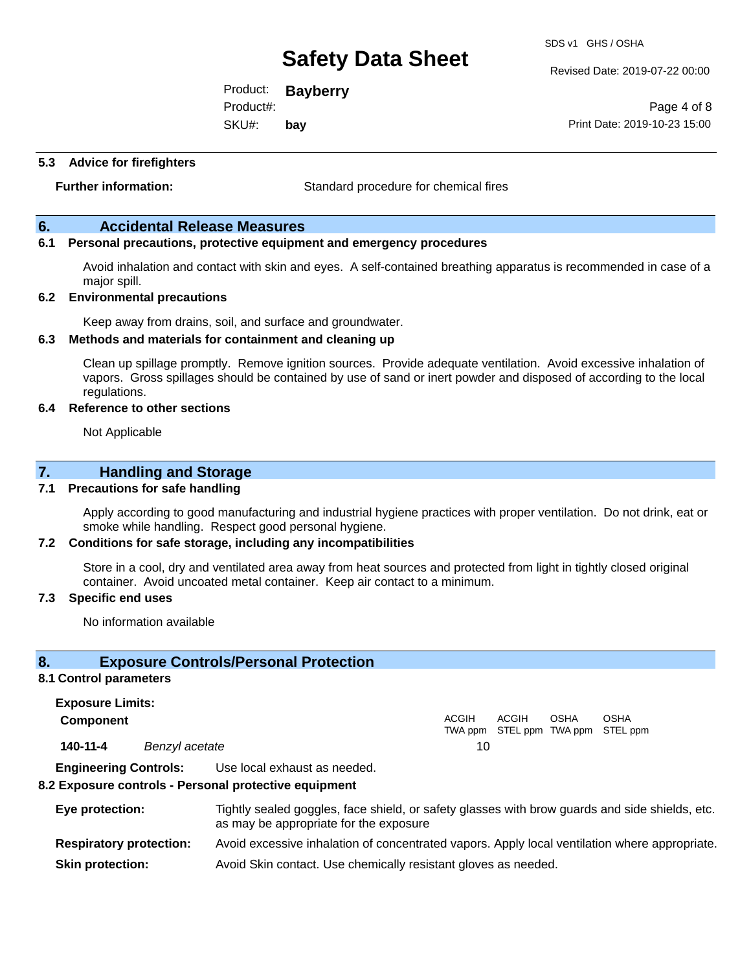SDS v1 GHS / OSHA

Revised Date: 2019-07-22 00:00

Product: **Bayberry** SKU#: Product#: **bay**

Page 4 of 8 Print Date: 2019-10-23 15:00

#### **5.3 Advice for firefighters**

**Further information:** Standard procedure for chemical fires

## **6. Accidental Release Measures**

## **6.1 Personal precautions, protective equipment and emergency procedures**

Avoid inhalation and contact with skin and eyes. A self-contained breathing apparatus is recommended in case of a major spill.

#### **6.2 Environmental precautions**

Keep away from drains, soil, and surface and groundwater.

#### **6.3 Methods and materials for containment and cleaning up**

Clean up spillage promptly. Remove ignition sources. Provide adequate ventilation. Avoid excessive inhalation of vapors. Gross spillages should be contained by use of sand or inert powder and disposed of according to the local regulations.

#### **6.4 Reference to other sections**

Not Applicable

## **7. Handling and Storage**

#### **7.1 Precautions for safe handling**

Apply according to good manufacturing and industrial hygiene practices with proper ventilation. Do not drink, eat or smoke while handling. Respect good personal hygiene.

#### **7.2 Conditions for safe storage, including any incompatibilities**

Store in a cool, dry and ventilated area away from heat sources and protected from light in tightly closed original container. Avoid uncoated metal container. Keep air contact to a minimum.

#### **7.3 Specific end uses**

No information available

### **8. Exposure Controls/Personal Protection**

#### **8.1 Control parameters**

**Exposure Limits: Component** ACGIH TWA ppm STEL ppm TWA ppm STEL ppm ACGIH OSHA OSHA **140-11-4** *Benzyl acetate* 10

**Engineering Controls:** Use local exhaust as needed.

#### **8.2 Exposure controls - Personal protective equipment**

| Eye protection:                | Tightly sealed goggles, face shield, or safety glasses with brow guards and side shields, etc.<br>as may be appropriate for the exposure |
|--------------------------------|------------------------------------------------------------------------------------------------------------------------------------------|
| <b>Respiratory protection:</b> | Avoid excessive inhalation of concentrated vapors. Apply local ventilation where appropriate.                                            |
| <b>Skin protection:</b>        | Avoid Skin contact. Use chemically resistant gloves as needed.                                                                           |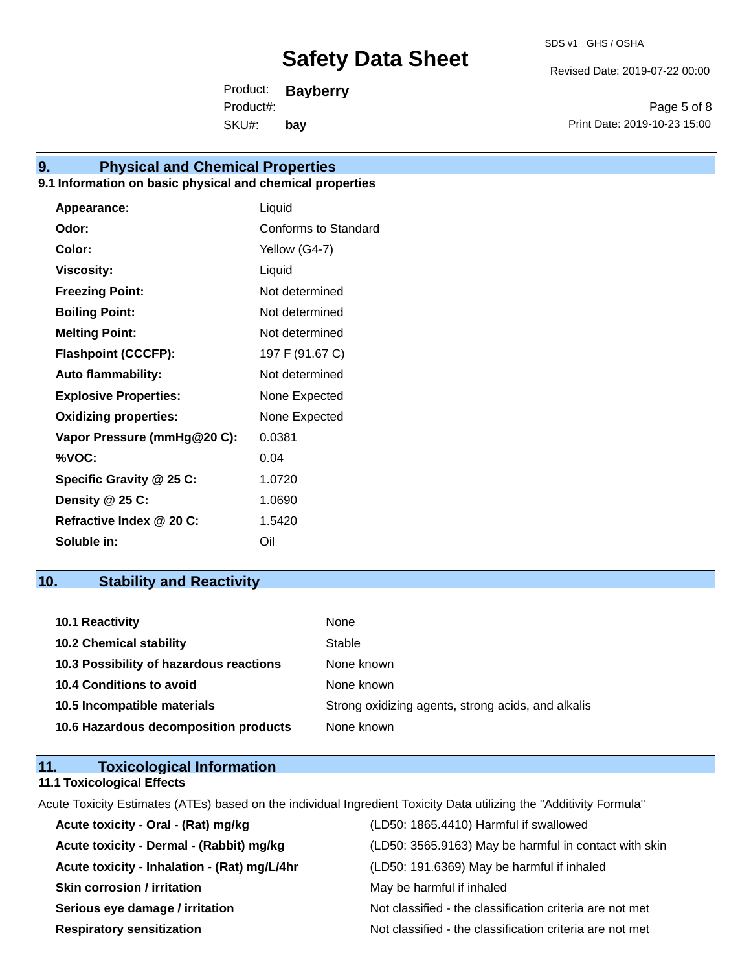Revised Date: 2019-07-22 00:00

Product: **Bayberry** SKU#: Product#: **bay**

Page 5 of 8 Print Date: 2019-10-23 15:00

## **9. Physical and Chemical Properties**

## **9.1 Information on basic physical and chemical properties**

| Appearance:                  | Liquid               |
|------------------------------|----------------------|
| Odor:                        | Conforms to Standard |
| Color:                       | Yellow (G4-7)        |
| <b>Viscosity:</b>            | Liquid               |
| <b>Freezing Point:</b>       | Not determined       |
| <b>Boiling Point:</b>        | Not determined       |
| <b>Melting Point:</b>        | Not determined       |
| <b>Flashpoint (CCCFP):</b>   | 197 F (91.67 C)      |
| <b>Auto flammability:</b>    | Not determined       |
| <b>Explosive Properties:</b> | None Expected        |
| <b>Oxidizing properties:</b> | None Expected        |
| Vapor Pressure (mmHg@20 C):  | 0.0381               |
| %VOC:                        | 0.04                 |
| Specific Gravity @ 25 C:     | 1.0720               |
| Density @ 25 C:              | 1.0690               |
| Refractive Index @ 20 C:     | 1.5420               |
| Soluble in:                  | Oil                  |

## **10. Stability and Reactivity**

| <b>10.1 Reactivity</b>                  | None                                               |
|-----------------------------------------|----------------------------------------------------|
| <b>10.2 Chemical stability</b>          | Stable                                             |
| 10.3 Possibility of hazardous reactions | None known                                         |
| <b>10.4 Conditions to avoid</b>         | None known                                         |
| 10.5 Incompatible materials             | Strong oxidizing agents, strong acids, and alkalis |
| 10.6 Hazardous decomposition products   | None known                                         |

## **11. Toxicological Information 11.1 Toxicological Effects**

Acute Toxicity Estimates (ATEs) based on the individual Ingredient Toxicity Data utilizing the "Additivity Formula"

| Acute toxicity - Oral - (Rat) mg/kg          | (LD50: 1865.4410) Harmful if swallowed                   |
|----------------------------------------------|----------------------------------------------------------|
| Acute toxicity - Dermal - (Rabbit) mg/kg     | (LD50: 3565.9163) May be harmful in contact with skin    |
| Acute toxicity - Inhalation - (Rat) mg/L/4hr | (LD50: 191.6369) May be harmful if inhaled               |
| <b>Skin corrosion / irritation</b>           | May be harmful if inhaled                                |
| Serious eye damage / irritation              | Not classified - the classification criteria are not met |
| <b>Respiratory sensitization</b>             | Not classified - the classification criteria are not met |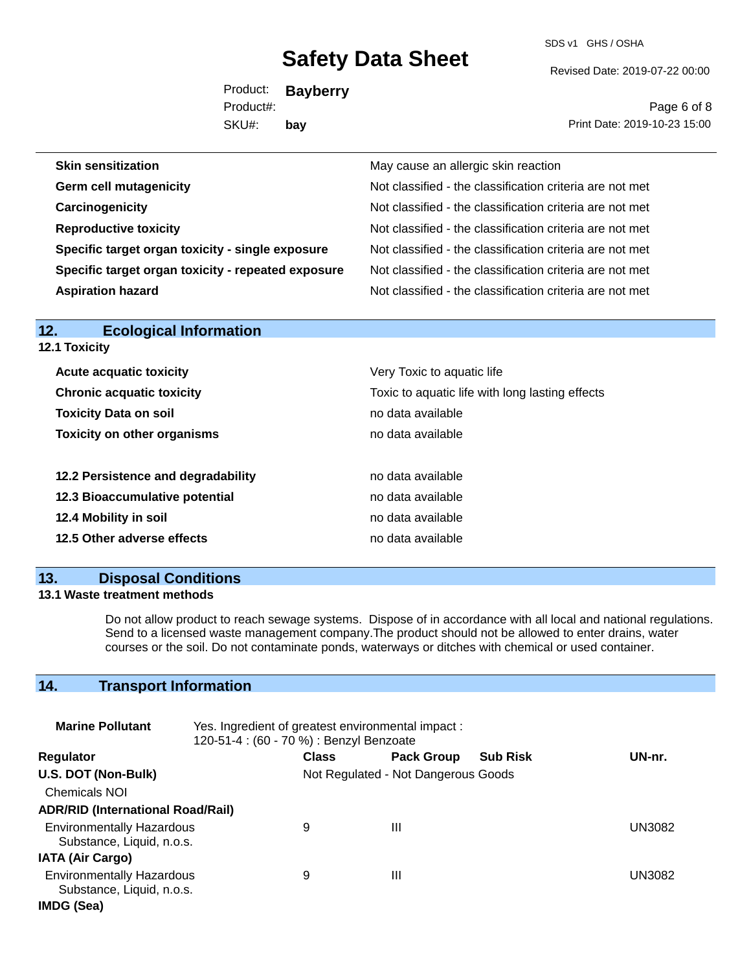SDS v1 GHS / OSHA

Revised Date: 2019-07-22 00:00

Product: **Bayberry** SKU#: Product#: **bay**

Page 6 of 8 Print Date: 2019-10-23 15:00

| <b>Skin sensitization</b>                          | May cause an allergic skin reaction                      |
|----------------------------------------------------|----------------------------------------------------------|
| <b>Germ cell mutagenicity</b>                      | Not classified - the classification criteria are not met |
| Carcinogenicity                                    | Not classified - the classification criteria are not met |
| <b>Reproductive toxicity</b>                       | Not classified - the classification criteria are not met |
| Specific target organ toxicity - single exposure   | Not classified - the classification criteria are not met |
| Specific target organ toxicity - repeated exposure | Not classified - the classification criteria are not met |
| <b>Aspiration hazard</b>                           | Not classified - the classification criteria are not met |
|                                                    |                                                          |

| 12.<br>Ecological Information                                                       |                            |  |
|-------------------------------------------------------------------------------------|----------------------------|--|
| <b>12.1 Toxicity</b>                                                                |                            |  |
| <b>Acute acquatic toxicity</b>                                                      | Very Toxic to aquatic life |  |
| <b>Chronic acquatic toxicity</b><br>Toxic to aquatic life with long lasting effects |                            |  |
| <b>Toxicity Data on soil</b>                                                        | no data available          |  |
| <b>Toxicity on other organisms</b>                                                  | no data available          |  |
| 12.2 Persistence and degradability                                                  | no data available          |  |
| 12.3 Bioaccumulative potential                                                      | no data available          |  |
| 12.4 Mobility in soil                                                               | no data available          |  |
| 12.5 Other adverse effects                                                          | no data available          |  |
|                                                                                     |                            |  |

## **13. Disposal Conditions**

**12. Ecological Information** 

## **13.1 Waste treatment methods**

Do not allow product to reach sewage systems. Dispose of in accordance with all local and national regulations. Send to a licensed waste management company.The product should not be allowed to enter drains, water courses or the soil. Do not contaminate ponds, waterways or ditches with chemical or used container.

## **14. Transport Information**

| <b>Marine Pollutant</b>                                       | Yes. Ingredient of greatest environmental impact:<br>120-51-4 : (60 - 70 %) : Benzyl Benzoate |                                     |                   |                 |               |
|---------------------------------------------------------------|-----------------------------------------------------------------------------------------------|-------------------------------------|-------------------|-----------------|---------------|
| <b>Regulator</b>                                              |                                                                                               | <b>Class</b>                        | <b>Pack Group</b> | <b>Sub Risk</b> | UN-nr.        |
| U.S. DOT (Non-Bulk)                                           |                                                                                               | Not Regulated - Not Dangerous Goods |                   |                 |               |
| <b>Chemicals NOI</b>                                          |                                                                                               |                                     |                   |                 |               |
| <b>ADR/RID (International Road/Rail)</b>                      |                                                                                               |                                     |                   |                 |               |
| <b>Environmentally Hazardous</b><br>Substance, Liquid, n.o.s. |                                                                                               | 9                                   | Ш                 |                 | <b>UN3082</b> |
| <b>IATA (Air Cargo)</b>                                       |                                                                                               |                                     |                   |                 |               |
| <b>Environmentally Hazardous</b><br>Substance, Liquid, n.o.s. |                                                                                               | 9                                   | Ш                 |                 | UN3082        |
| IMDG (Sea)                                                    |                                                                                               |                                     |                   |                 |               |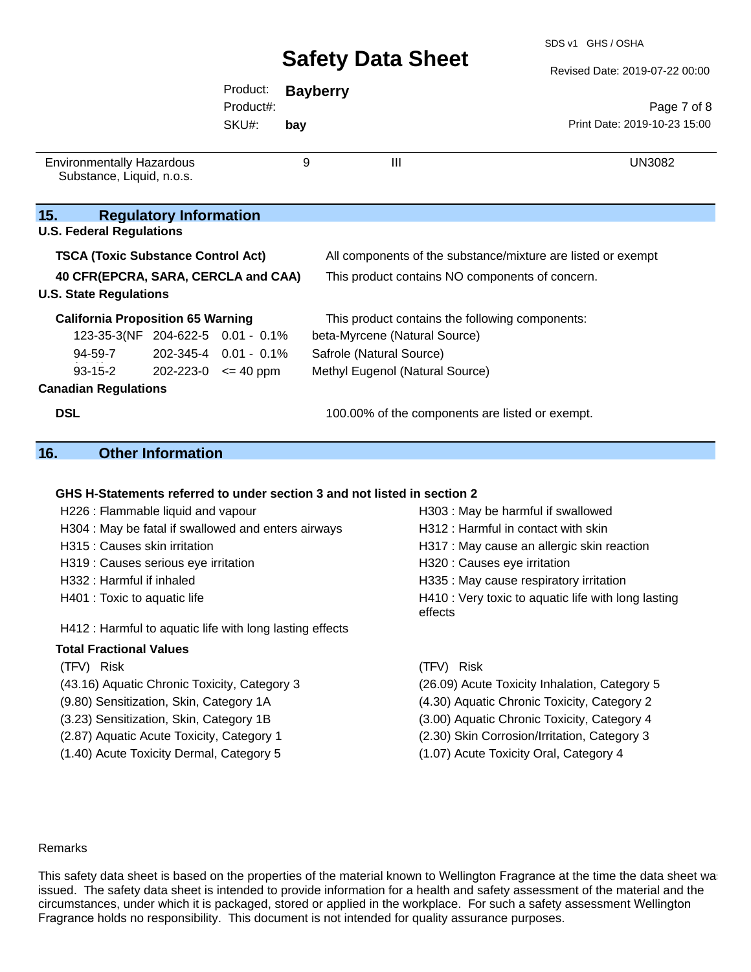Revised Date: 2019-07-22 00:00

|                                              | Product:  |     | <b>Bayberry</b>                                 |                                                              |  |
|----------------------------------------------|-----------|-----|-------------------------------------------------|--------------------------------------------------------------|--|
|                                              | Product#: |     |                                                 | Page 7 of 8                                                  |  |
|                                              | SKU#:     | bay |                                                 | Print Date: 2019-10-23 15:00                                 |  |
|                                              |           |     |                                                 |                                                              |  |
| <b>Environmentally Hazardous</b>             |           | 9   | $\mathbf{III}$                                  | UN3082                                                       |  |
| Substance, Liquid, n.o.s.                    |           |     |                                                 |                                                              |  |
|                                              |           |     |                                                 |                                                              |  |
| 15.<br><b>Regulatory Information</b>         |           |     |                                                 |                                                              |  |
| <b>U.S. Federal Regulations</b>              |           |     |                                                 |                                                              |  |
| <b>TSCA (Toxic Substance Control Act)</b>    |           |     |                                                 | All components of the substance/mixture are listed or exempt |  |
| 40 CFR(EPCRA, SARA, CERCLA and CAA)          |           |     | This product contains NO components of concern. |                                                              |  |
| <b>U.S. State Regulations</b>                |           |     |                                                 |                                                              |  |
| <b>California Proposition 65 Warning</b>     |           |     | This product contains the following components: |                                                              |  |
| 123-35-3(NF 204-622-5 0.01 - 0.1%            |           |     | beta-Myrcene (Natural Source)                   |                                                              |  |
| 202-345-4 0.01 - 0.1%<br>94-59-7             |           |     | Safrole (Natural Source)                        |                                                              |  |
| $93 - 15 - 2$<br>$202 - 223 - 0 \leq 40$ ppm |           |     | Methyl Eugenol (Natural Source)                 |                                                              |  |
| <b>Canadian Regulations</b>                  |           |     |                                                 |                                                              |  |
| <b>DSL</b>                                   |           |     | 100.00% of the components are listed or exempt. |                                                              |  |

## **16. Other Information**

## **GHS H-Statements referred to under section 3 and not listed in section 2**

| H226 : Flammable liquid and vapour                       | H303 : May be harmful if swallowed                             |  |  |
|----------------------------------------------------------|----------------------------------------------------------------|--|--|
| H304 : May be fatal if swallowed and enters airways      | H312 : Harmful in contact with skin                            |  |  |
| H315 : Causes skin irritation                            | H317 : May cause an allergic skin reaction                     |  |  |
| H319 : Causes serious eye irritation                     | H320 : Causes eye irritation                                   |  |  |
| H332 : Harmful if inhaled                                | H335 : May cause respiratory irritation                        |  |  |
| H401 : Toxic to aquatic life                             | H410 : Very toxic to aquatic life with long lasting<br>effects |  |  |
| H412 : Harmful to aquatic life with long lasting effects |                                                                |  |  |
| <b>Total Fractional Values</b>                           |                                                                |  |  |
| (TFV) Risk                                               | (TFV) Risk                                                     |  |  |
| (43.16) Aquatic Chronic Toxicity, Category 3             | (26.09) Acute Toxicity Inhalation, Category 5                  |  |  |
| (9.80) Sensitization, Skin, Category 1A                  | (4.30) Aquatic Chronic Toxicity, Category 2                    |  |  |
| (3.23) Sensitization, Skin, Category 1B                  | (3.00) Aquatic Chronic Toxicity, Category 4                    |  |  |

- 
- 
- 
- (2.87) Aquatic Acute Toxicity, Category 1 (2.30) Skin Corrosion/Irritation, Category 3
- (1.40) Acute Toxicity Dermal, Category 5 (1.07) Acute Toxicity Oral, Category 4

#### Remarks

This safety data sheet is based on the properties of the material known to Wellington Fragrance at the time the data sheet was issued. The safety data sheet is intended to provide information for a health and safety assessment of the material and the circumstances, under which it is packaged, stored or applied in the workplace. For such a safety assessment Wellington Fragrance holds no responsibility. This document is not intended for quality assurance purposes.